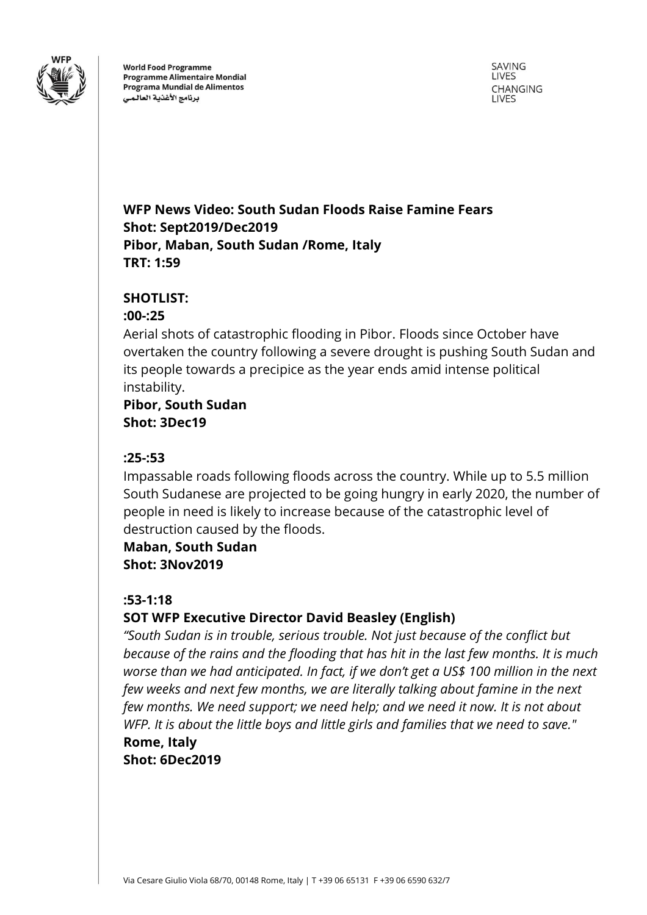

**World Food Programme Programme Alimentaire Mondial** Programa Mundial de Alimentos برنامج الأغذية العالمى

SAVING LIVES CHANGING **LIVES** 

## **WFP News Video: South Sudan Floods Raise Famine Fears Shot: Sept2019/Dec2019 Pibor, Maban, South Sudan /Rome, Italy TRT: 1:59**

### **SHOTLIST:**

#### **:00-:25**

Aerial shots of catastrophic flooding in Pibor. Floods since October have overtaken the country following a severe drought is pushing South Sudan and its people towards a precipice as the year ends amid intense political instability.

## **Pibor, South Sudan Shot: 3Dec19**

#### **:25-:53**

Impassable roads following floods across the country. While up to 5.5 million South Sudanese are projected to be going hungry in early 2020, the number of people in need is likely to increase because of the catastrophic level of destruction caused by the floods.

**Maban, South Sudan Shot: 3Nov2019**

### **:53-1:18**

## **SOT WFP Executive Director David Beasley (English)**

*"South Sudan is in trouble, serious trouble. Not just because of the conflict but because of the rains and the flooding that has hit in the last few months. It is much worse than we had anticipated. In fact, if we don't get a US\$ 100 million in the next few weeks and next few months, we are literally talking about famine in the next few months. We need support; we need help; and we need it now. It is not about WFP. It is about the little boys and little girls and families that we need to save."*  **Rome, Italy**

**Shot: 6Dec2019**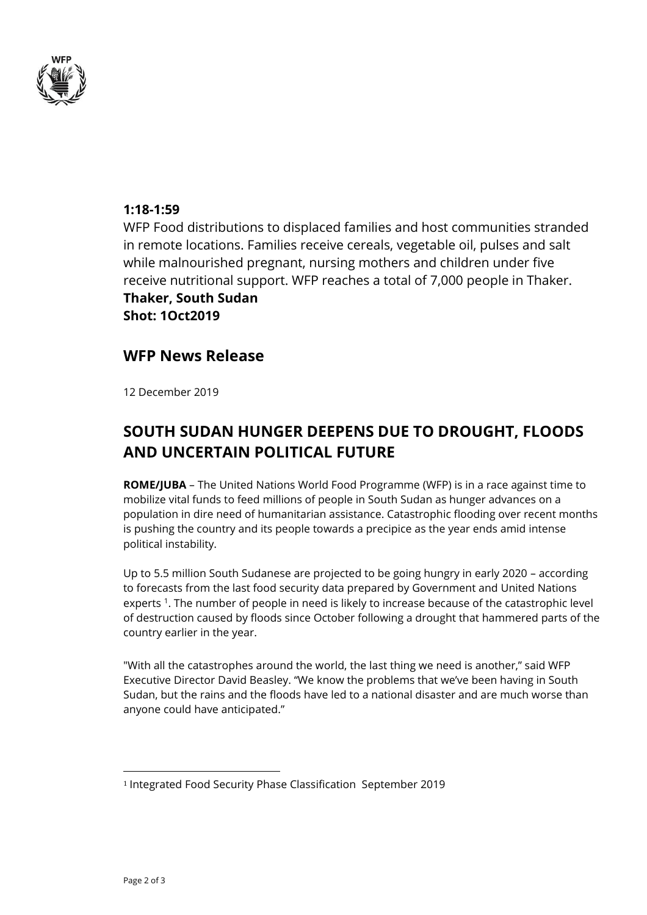

#### **1:18-1:59**

WFP Food distributions to displaced families and host communities stranded in remote locations. Families receive cereals, vegetable oil, pulses and salt while malnourished pregnant, nursing mothers and children under five receive nutritional support. WFP reaches a total of 7,000 people in Thaker.

**Thaker, South Sudan Shot: 1Oct2019**

## **WFP News Release**

12 December 2019

# **SOUTH SUDAN HUNGER DEEPENS DUE TO DROUGHT, FLOODS AND UNCERTAIN POLITICAL FUTURE**

**ROME/JUBA** – The United Nations World Food Programme (WFP) is in a race against time to mobilize vital funds to feed millions of people in South Sudan as hunger advances on a population in dire need of humanitarian assistance. Catastrophic flooding over recent months is pushing the country and its people towards a precipice as the year ends amid intense political instability.

Up to 5.5 million South Sudanese are projected to be going hungry in early 2020 – according to forecasts from the last food security data prepared by Government and United Nations experts<sup>1</sup>. The number of people in need is likely to increase because of the catastrophic level of destruction caused by floods since October following a drought that hammered parts of the country earlier in the year.

"With all the catastrophes around the world, the last thing we need is another," said WFP Executive Director David Beasley. "We know the problems that we've been having in South Sudan, but the rains and the floods have led to a national disaster and are much worse than anyone could have anticipated."

 $\overline{a}$ 

<sup>1</sup> Integrated Food Security Phase Classification September 2019